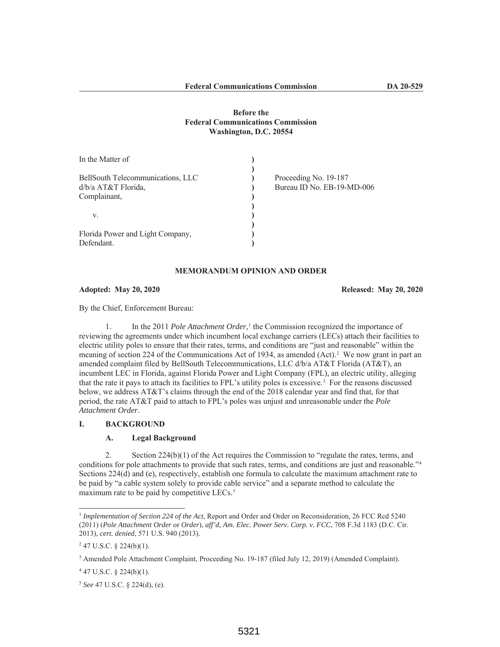# **Before the Federal Communications Commission Washington, D.C. 20554**

| In the Matter of                  |                            |
|-----------------------------------|----------------------------|
| BellSouth Telecommunications, LLC | Proceeding No. 19-187      |
| d/b/a AT&T Florida,               | Bureau ID No. EB-19-MD-006 |
| Complainant,                      |                            |
|                                   |                            |
| V.                                |                            |
|                                   |                            |
| Florida Power and Light Company,  |                            |
| Defendant.                        |                            |

#### **MEMORANDUM OPINION AND ORDER**

#### **Adopted: May 20, 2020 Released: May 20, 2020**

By the Chief, Enforcement Bureau:

1. In the 2011 *Pole Attachment Order*,<sup>1</sup> the Commission recognized the importance of reviewing the agreements under which incumbent local exchange carriers (LECs) attach their facilities to electric utility poles to ensure that their rates, terms, and conditions are "just and reasonable" within the meaning of section 224 of the Communications Act of 1934, as amended (Act).<sup>2</sup> We now grant in part an amended complaint filed by BellSouth Telecommunications, LLC d/b/a AT&T Florida (AT&T), an incumbent LEC in Florida, against Florida Power and Light Company (FPL), an electric utility, alleging that the rate it pays to attach its facilities to FPL's utility poles is excessive.3 For the reasons discussed below, we address AT&T's claims through the end of the 2018 calendar year and find that, for that period, the rate AT&T paid to attach to FPL's poles was unjust and unreasonable under the *Pole Attachment Order*.

### **I. BACKGROUND**

## **A. Legal Background**

2. Section 224(b)(1) of the Act requires the Commission to "regulate the rates, terms, and conditions for pole attachments to provide that such rates, terms, and conditions are just and reasonable."4 Sections 224(d) and (e), respectively, establish one formula to calculate the maximum attachment rate to be paid by "a cable system solely to provide cable service" and a separate method to calculate the maximum rate to be paid by competitive LECs.<sup>5</sup>

<sup>1</sup> *Implementation of Section 224 of the Act*, Report and Order and Order on Reconsideration, 26 FCC Rcd 5240 (2011) (*Pole Attachment Order* or *Order*), *aff'd, Am. Elec. Power Serv. Corp. v. FCC*, 708 F.3d 1183 (D.C. Cir. 2013), *cert. denied*, 571 U.S. 940 (2013).

 $247$  U.S.C. § 224(b)(1).

<sup>3</sup> Amended Pole Attachment Complaint, Proceeding No. 19-187 (filed July 12, 2019) (Amended Complaint).

 $447$  U.S.C. § 224(b)(1).

<sup>5</sup> *See* 47 U.S.C. § 224(d), (e).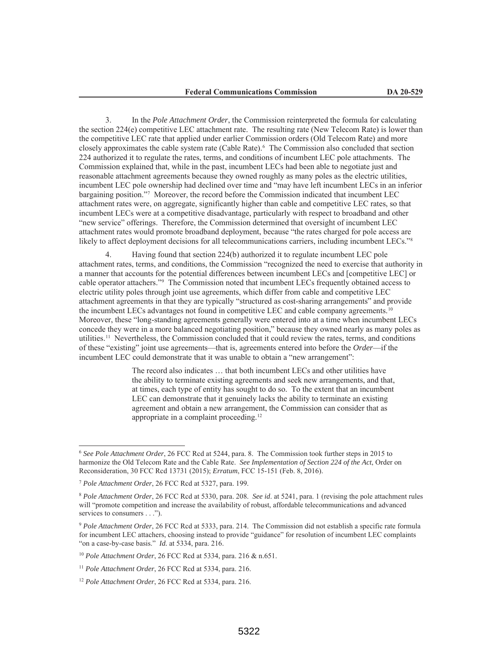3. In the *Pole Attachment Order*, the Commission reinterpreted the formula for calculating the section 224(e) competitive LEC attachment rate. The resulting rate (New Telecom Rate) is lower than the competitive LEC rate that applied under earlier Commission orders (Old Telecom Rate) and more closely approximates the cable system rate (Cable Rate).6 The Commission also concluded that section 224 authorized it to regulate the rates, terms, and conditions of incumbent LEC pole attachments. The Commission explained that, while in the past, incumbent LECs had been able to negotiate just and reasonable attachment agreements because they owned roughly as many poles as the electric utilities, incumbent LEC pole ownership had declined over time and "may have left incumbent LECs in an inferior bargaining position."7 Moreover, the record before the Commission indicated that incumbent LEC attachment rates were, on aggregate, significantly higher than cable and competitive LEC rates, so that incumbent LECs were at a competitive disadvantage, particularly with respect to broadband and other "new service" offerings. Therefore, the Commission determined that oversight of incumbent LEC attachment rates would promote broadband deployment, because "the rates charged for pole access are likely to affect deployment decisions for all telecommunications carriers, including incumbent LECs."<sup>8</sup>

4. Having found that section 224(b) authorized it to regulate incumbent LEC pole attachment rates, terms, and conditions, the Commission "recognized the need to exercise that authority in a manner that accounts for the potential differences between incumbent LECs and [competitive LEC] or cable operator attachers."9 The Commission noted that incumbent LECs frequently obtained access to electric utility poles through joint use agreements, which differ from cable and competitive LEC attachment agreements in that they are typically "structured as cost-sharing arrangements" and provide the incumbent LECs advantages not found in competitive LEC and cable company agreements.<sup>10</sup> Moreover, these "long-standing agreements generally were entered into at a time when incumbent LECs concede they were in a more balanced negotiating position," because they owned nearly as many poles as utilities.11 Nevertheless, the Commission concluded that it could review the rates, terms, and conditions of these "existing" joint use agreements—that is, agreements entered into before the *Order*—if the incumbent LEC could demonstrate that it was unable to obtain a "new arrangement":

> The record also indicates … that both incumbent LECs and other utilities have the ability to terminate existing agreements and seek new arrangements, and that, at times, each type of entity has sought to do so. To the extent that an incumbent LEC can demonstrate that it genuinely lacks the ability to terminate an existing agreement and obtain a new arrangement, the Commission can consider that as appropriate in a complaint proceeding.12

<sup>6</sup> *See Pole Attachment Order*, 26 FCC Rcd at 5244, para. 8. The Commission took further steps in 2015 to harmonize the Old Telecom Rate and the Cable Rate. *See Implementation of Section 224 of the Act*, Order on Reconsideration, 30 FCC Rcd 13731 (2015); *Erratum*, FCC 15-151 (Feb. 8, 2016).

<sup>7</sup> *Pole Attachment Order*, 26 FCC Rcd at 5327, para. 199.

<sup>8</sup> *Pole Attachment Order*, 26 FCC Rcd at 5330, para. 208. *See id*. at 5241, para. 1 (revising the pole attachment rules will "promote competition and increase the availability of robust, affordable telecommunications and advanced services to consumers . . .").

<sup>9</sup> *Pole Attachment Order*, 26 FCC Rcd at 5333, para. 214. The Commission did not establish a specific rate formula for incumbent LEC attachers, choosing instead to provide "guidance" for resolution of incumbent LEC complaints "on a case-by-case basis." *Id.* at 5334, para. 216.

<sup>10</sup> *Pole Attachment Order*, 26 FCC Rcd at 5334, para. 216 & n.651.

<sup>11</sup> *Pole Attachment Order*, 26 FCC Rcd at 5334, para. 216.

<sup>12</sup> *Pole Attachment Order*, 26 FCC Rcd at 5334, para. 216.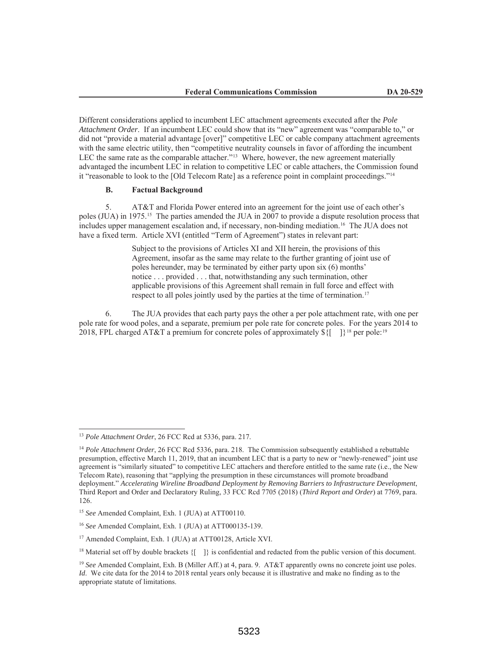Different considerations applied to incumbent LEC attachment agreements executed after the *Pole Attachment Order*. If an incumbent LEC could show that its "new" agreement was "comparable to," or did not "provide a material advantage [over]" competitive LEC or cable company attachment agreements with the same electric utility, then "competitive neutrality counsels in favor of affording the incumbent LEC the same rate as the comparable attacher."<sup>13</sup> Where, however, the new agreement materially advantaged the incumbent LEC in relation to competitive LEC or cable attachers, the Commission found it "reasonable to look to the [Old Telecom Rate] as a reference point in complaint proceedings."14

## **B. Factual Background**

5. AT&T and Florida Power entered into an agreement for the joint use of each other's poles (JUA) in 1975.15 The parties amended the JUA in 2007 to provide a dispute resolution process that includes upper management escalation and, if necessary, non-binding mediation.16 The JUA does not have a fixed term. Article XVI (entitled "Term of Agreement") states in relevant part:

> Subject to the provisions of Articles XI and XII herein, the provisions of this Agreement, insofar as the same may relate to the further granting of joint use of poles hereunder, may be terminated by either party upon six (6) months' notice . . . provided . . . that, notwithstanding any such termination, other applicable provisions of this Agreement shall remain in full force and effect with respect to all poles jointly used by the parties at the time of termination.<sup>17</sup>

6. The JUA provides that each party pays the other a per pole attachment rate, with one per pole rate for wood poles, and a separate, premium per pole rate for concrete poles. For the years 2014 to 2018, FPL charged AT&T a premium for concrete poles of approximately  $\frac{1}{8}$ {[ | 1}<sup>18</sup> per pole:<sup>19</sup>

<sup>13</sup> *Pole Attachment Order*, 26 FCC Rcd at 5336, para. 217.

<sup>&</sup>lt;sup>14</sup> Pole Attachment Order, 26 FCC Rcd 5336, para. 218. The Commission subsequently established a rebuttable presumption, effective March 11, 2019, that an incumbent LEC that is a party to new or "newly-renewed" joint use agreement is "similarly situated" to competitive LEC attachers and therefore entitled to the same rate (i.e., the New Telecom Rate), reasoning that "applying the presumption in these circumstances will promote broadband deployment." *Accelerating Wireline Broadband Deployment by Removing Barriers to Infrastructure Development*, Third Report and Order and Declaratory Ruling, 33 FCC Rcd 7705 (2018) (*Third Report and Order*) at 7769, para. 126.

<sup>15</sup> *See* Amended Complaint, Exh. 1 (JUA) at ATT00110.

<sup>16</sup> *See* Amended Complaint, Exh. 1 (JUA) at ATT000135-139.

<sup>&</sup>lt;sup>17</sup> Amended Complaint, Exh. 1 (JUA) at ATT00128, Article XVI.

<sup>&</sup>lt;sup>18</sup> Material set off by double brackets  $\{[-]\}$  is confidential and redacted from the public version of this document.

<sup>19</sup> *See* Amended Complaint, Exh. B (Miller Aff.) at 4, para. 9. AT&T apparently owns no concrete joint use poles. *Id*. We cite data for the 2014 to 2018 rental years only because it is illustrative and make no finding as to the appropriate statute of limitations.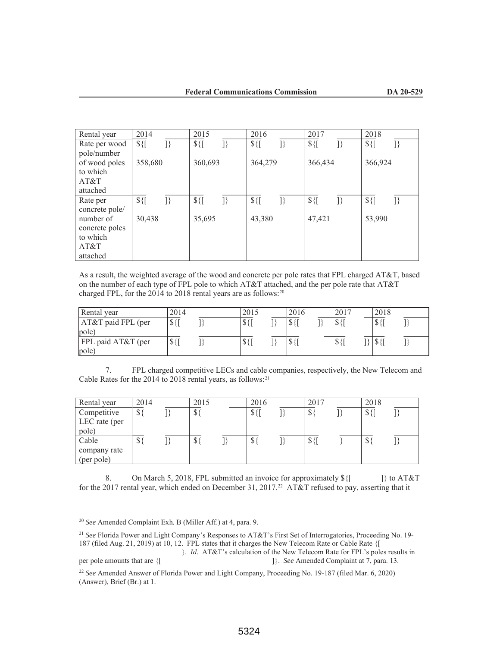| Rental year    | 2014          |    | 2015          |    | 2016          |    | 2017          |    | 2018          |               |
|----------------|---------------|----|---------------|----|---------------|----|---------------|----|---------------|---------------|
| Rate per wood  | $$$ { $[$     | }} | $\frac{1}{2}$ | }} | $\frac{1}{2}$ | }} | $\frac{1}{2}$ | }} | $\frac{1}{2}$ | $\mathcal{I}$ |
| pole/number    |               |    |               |    |               |    |               |    |               |               |
| of wood poles  | 358,680       |    | 360,693       |    | 364,279       |    | 366,434       |    | 366,924       |               |
| to which       |               |    |               |    |               |    |               |    |               |               |
| AT&T           |               |    |               |    |               |    |               |    |               |               |
| attached       |               |    |               |    |               |    |               |    |               |               |
| Rate per       | $\frac{1}{2}$ | }} | $\frac{1}{2}$ | 1} | $\frac{1}{2}$ | }} | $\frac{1}{2}$ | }} | $\frac{1}{2}$ | }}            |
| concrete pole/ |               |    |               |    |               |    |               |    |               |               |
| number of      | 30,438        |    | 35,695        |    | 43,380        |    | 47,421        |    | 53,990        |               |
| concrete poles |               |    |               |    |               |    |               |    |               |               |
| to which       |               |    |               |    |               |    |               |    |               |               |
| AT&T           |               |    |               |    |               |    |               |    |               |               |
| attached       |               |    |               |    |               |    |               |    |               |               |

As a result, the weighted average of the wood and concrete per pole rates that FPL charged AT&T, based on the number of each type of FPL pole to which AT&T attached, and the per pole rate that AT&T charged FPL, for the 2014 to 2018 rental years are as follows: $20$ 

| Rental year          | 2014          | 2015                        | 2016                   | 2017                         | 2018                           |  |
|----------------------|---------------|-----------------------------|------------------------|------------------------------|--------------------------------|--|
| $AT&T$ paid FPL (per | $\frac{1}{2}$ | $\sqrt{$}$                  | 100T<br>᠕              | $\triangle$ $\triangle$<br>Φ | $\triangle$ $\triangle$<br>D., |  |
| pole)                |               |                             |                        |                              |                                |  |
| FPL paid AT&T (per   | S             | $\mathcal{P}$ $\mathcal{U}$ | $\sigma$ $\gamma$<br>Φ | D                            | D                              |  |
| pole)                |               |                             |                        |                              |                                |  |

7. FPL charged competitive LECs and cable companies, respectively, the New Telecom and Cable Rates for the 2014 to 2018 rental years, as follows:21

| Rental year   | 2014         | 2015     | 2016          | 2017          | 2018       |  |
|---------------|--------------|----------|---------------|---------------|------------|--|
| Competitive   | $\mathbb{S}$ | $\$\}$   | $\frac{1}{2}$ | $\sigma$<br>Φ | $\sqrt{$}$ |  |
| LEC rate (per |              |          |               |               |            |  |
| pole)         |              |          |               |               |            |  |
| Cable         | G.<br>়⊅     | ¢.<br>Ф. | \$            | ¢.<br>ک 4     | ∩<br>D     |  |
| company rate  |              |          |               |               |            |  |
| (per pole)    |              |          |               |               |            |  |

8. On March 5, 2018, FPL submitted an invoice for approximately  $\frac{1}{2}$  [  $\frac{1}{2}$  to AT&T for the 2017 rental year, which ended on December 31, 2017.<sup>22</sup> AT&T refused to pay, asserting that it

per pole amounts that are {[ ]}. *See* Amended Complaint at 7, para. 13.

<sup>20</sup> *See* Amended Complaint Exh. B (Miller Aff.) at 4, para. 9.

<sup>21</sup> *See* Florida Power and Light Company's Responses to AT&T's First Set of Interrogatories, Proceeding No. 19- 187 (filed Aug. 21, 2019) at 10, 12. FPL states that it charges the New Telecom Rate or Cable Rate {[ }. *Id*. AT&T's calculation of the New Telecom Rate for FPL's poles results in

<sup>22</sup> *See* Amended Answer of Florida Power and Light Company, Proceeding No. 19-187 (filed Mar. 6, 2020) (Answer), Brief (Br.) at 1.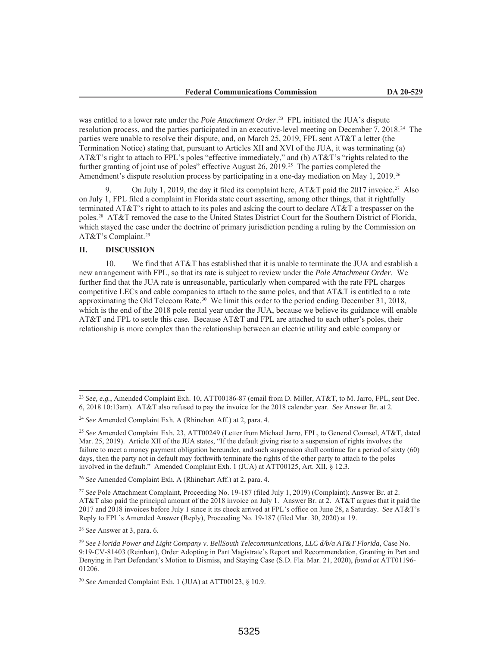was entitled to a lower rate under the *Pole Attachment Order*. 23 FPL initiated the JUA's dispute resolution process, and the parties participated in an executive-level meeting on December 7, 2018.24 The parties were unable to resolve their dispute, and, on March 25, 2019, FPL sent AT&T a letter (the Termination Notice) stating that, pursuant to Articles XII and XVI of the JUA, it was terminating (a) AT&T's right to attach to FPL's poles "effective immediately," and (b) AT&T's "rights related to the further granting of joint use of poles" effective August 26, 2019.<sup>25</sup> The parties completed the Amendment's dispute resolution process by participating in a one-day mediation on May 1, 2019.<sup>26</sup>

On July 1, 2019, the day it filed its complaint here, AT&T paid the 2017 invoice.<sup>27</sup> Also on July 1, FPL filed a complaint in Florida state court asserting, among other things, that it rightfully terminated AT&T's right to attach to its poles and asking the court to declare AT&T a trespasser on the poles.28 AT&T removed the case to the United States District Court for the Southern District of Florida, which stayed the case under the doctrine of primary jurisdiction pending a ruling by the Commission on AT&T's Complaint.29

#### **II. DISCUSSION**

10. We find that AT&T has established that it is unable to terminate the JUA and establish a new arrangement with FPL, so that its rate is subject to review under the *Pole Attachment Order*. We further find that the JUA rate is unreasonable, particularly when compared with the rate FPL charges competitive LECs and cable companies to attach to the same poles, and that AT&T is entitled to a rate approximating the Old Telecom Rate.30 We limit this order to the period ending December 31, 2018, which is the end of the 2018 pole rental year under the JUA, because we believe its guidance will enable AT&T and FPL to settle this case. Because AT&T and FPL are attached to each other's poles, their relationship is more complex than the relationship between an electric utility and cable company or

<sup>28</sup> *See* Answer at 3, para. 6.

<sup>23</sup> *See, e.g.*, Amended Complaint Exh. 10, ATT00186-87 (email from D. Miller, AT&T, to M. Jarro, FPL, sent Dec. 6, 2018 10:13am). AT&T also refused to pay the invoice for the 2018 calendar year. *See* Answer Br. at 2.

<sup>24</sup> *See* Amended Complaint Exh. A (Rhinehart Aff.) at 2, para. 4.

<sup>25</sup> *See* Amended Complaint Exh. 23, ATT00249 (Letter from Michael Jarro, FPL, to General Counsel, AT&T, dated Mar. 25, 2019). Article XII of the JUA states, "If the default giving rise to a suspension of rights involves the failure to meet a money payment obligation hereunder, and such suspension shall continue for a period of sixty (60) days, then the party not in default may forthwith terminate the rights of the other party to attach to the poles involved in the default." Amended Complaint Exh. 1 (JUA) at ATT00125, Art. XII, § 12.3.

<sup>26</sup> *See* Amended Complaint Exh. A (Rhinehart Aff.) at 2, para. 4.

<sup>27</sup> *See* Pole Attachment Complaint, Proceeding No. 19-187 (filed July 1, 2019) (Complaint); Answer Br. at 2. AT&T also paid the principal amount of the 2018 invoice on July 1. Answer Br. at 2. AT&T argues that it paid the 2017 and 2018 invoices before July 1 since it its check arrived at FPL's office on June 28, a Saturday. *See* AT&T's Reply to FPL's Amended Answer (Reply), Proceeding No. 19-187 (filed Mar. 30, 2020) at 19.

<sup>29</sup> *See Florida Power and Light Company v. BellSouth Telecommunications, LLC d/b/a AT&T Florida*, Case No. 9:19-CV-81403 (Reinhart), Order Adopting in Part Magistrate's Report and Recommendation, Granting in Part and Denying in Part Defendant's Motion to Dismiss, and Staying Case (S.D. Fla. Mar. 21, 2020), *found at* ATT01196- 01206.

<sup>30</sup> *See* Amended Complaint Exh. 1 (JUA) at ATT00123, § 10.9.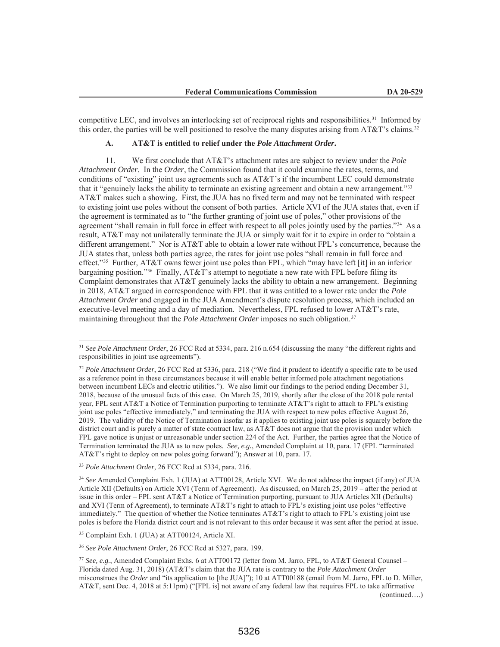competitive LEC, and involves an interlocking set of reciprocal rights and responsibilities.31 Informed by this order, the parties will be well positioned to resolve the many disputes arising from AT&T's claims.<sup>32</sup>

# **A. AT&T is entitled to relief under the** *Pole Attachment Order***.**

11. We first conclude that AT&T's attachment rates are subject to review under the *Pole Attachment Order*. In the *Order*, the Commission found that it could examine the rates, terms, and conditions of "existing" joint use agreements such as AT&T's if the incumbent LEC could demonstrate that it "genuinely lacks the ability to terminate an existing agreement and obtain a new arrangement."33 AT&T makes such a showing. First, the JUA has no fixed term and may not be terminated with respect to existing joint use poles without the consent of both parties. Article XVI of the JUA states that, even if the agreement is terminated as to "the further granting of joint use of poles," other provisions of the agreement "shall remain in full force in effect with respect to all poles jointly used by the parties."34 As a result, AT&T may not unilaterally terminate the JUA or simply wait for it to expire in order to "obtain a different arrangement." Nor is AT&T able to obtain a lower rate without FPL's concurrence, because the JUA states that, unless both parties agree, the rates for joint use poles "shall remain in full force and effect."35 Further, AT&T owns fewer joint use poles than FPL, which "may have left [it] in an inferior bargaining position."<sup>36</sup> Finally, AT&T's attempt to negotiate a new rate with FPL before filing its Complaint demonstrates that AT&T genuinely lacks the ability to obtain a new arrangement. Beginning in 2018, AT&T argued in correspondence with FPL that it was entitled to a lower rate under the *Pole Attachment Order* and engaged in the JUA Amendment's dispute resolution process, which included an executive-level meeting and a day of mediation. Nevertheless, FPL refused to lower AT&T's rate, maintaining throughout that the *Pole Attachment Order* imposes no such obligation.<sup>37</sup>

<sup>33</sup> *Pole Attachment Order*, 26 FCC Rcd at 5334, para. 216.

<sup>34</sup> *See* Amended Complaint Exh. 1 (JUA) at ATT00128, Article XVI. We do not address the impact (if any) of JUA Article XII (Defaults) on Article XVI (Term of Agreement). As discussed, on March 25, 2019 – after the period at issue in this order – FPL sent AT&T a Notice of Termination purporting, pursuant to JUA Articles XII (Defaults) and XVI (Term of Agreement), to terminate AT&T's right to attach to FPL's existing joint use poles "effective immediately." The question of whether the Notice terminates AT&T's right to attach to FPL's existing joint use poles is before the Florida district court and is not relevant to this order because it was sent after the period at issue.

<sup>35</sup> Complaint Exh. 1 (JUA) at ATT00124, Article XI.

<sup>36</sup> *See Pole Attachment Order*, 26 FCC Rcd at 5327, para. 199.

(continued….)

<sup>31</sup> *See Pole Attachment Order*, 26 FCC Rcd at 5334, para. 216 n.654 (discussing the many "the different rights and responsibilities in joint use agreements").

<sup>32</sup> *Pole Attachment Order*, 26 FCC Rcd at 5336, para. 218 ("We find it prudent to identify a specific rate to be used as a reference point in these circumstances because it will enable better informed pole attachment negotiations between incumbent LECs and electric utilities."). We also limit our findings to the period ending December 31, 2018, because of the unusual facts of this case. On March 25, 2019, shortly after the close of the 2018 pole rental year, FPL sent AT&T a Notice of Termination purporting to terminate AT&T's right to attach to FPL's existing joint use poles "effective immediately," and terminating the JUA with respect to new poles effective August 26, 2019. The validity of the Notice of Termination insofar as it applies to existing joint use poles is squarely before the district court and is purely a matter of state contract law, as AT&T does not argue that the provision under which FPL gave notice is unjust or unreasonable under section 224 of the Act. Further, the parties agree that the Notice of Termination terminated the JUA as to new poles. *See, e.g.*, Amended Complaint at 10, para. 17 (FPL "terminated AT&T's right to deploy on new poles going forward"); Answer at 10, para. 17.

<sup>&</sup>lt;sup>37</sup> *See, e.g.*, Amended Complaint Exhs. 6 at ATT00172 (letter from M. Jarro, FPL, to AT&T General Counsel – Florida dated Aug. 31, 2018) (AT&T's claim that the JUA rate is contrary to the *Pole Attachment Order* misconstrues the *Order* and "its application to [the JUA]"); 10 at ATT00188 (email from M. Jarro, FPL to D. Miller, AT&T, sent Dec. 4, 2018 at 5:11pm) ("[FPL is] not aware of any federal law that requires FPL to take affirmative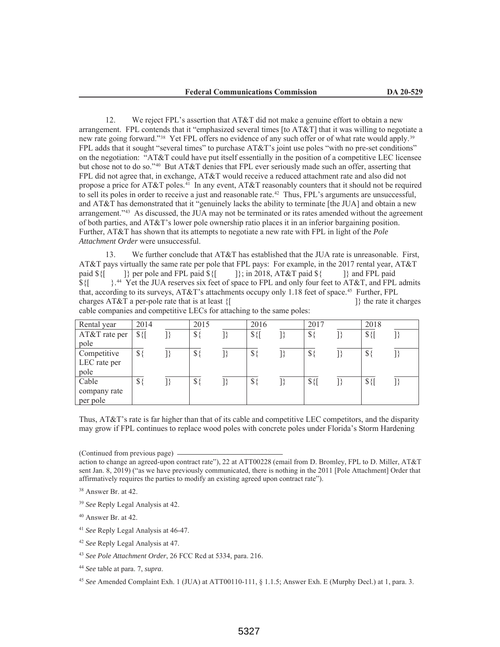12. We reject FPL's assertion that AT&T did not make a genuine effort to obtain a new arrangement. FPL contends that it "emphasized several times [to AT&T] that it was willing to negotiate a new rate going forward."<sup>38</sup> Yet FPL offers no evidence of any such offer or of what rate would apply.<sup>39</sup> FPL adds that it sought "several times" to purchase AT&T's joint use poles "with no pre-set conditions" on the negotiation: "AT&T could have put itself essentially in the position of a competitive LEC licensee but chose not to do so."40 But AT&T denies that FPL ever seriously made such an offer, asserting that FPL did not agree that, in exchange, AT&T would receive a reduced attachment rate and also did not propose a price for AT&T poles.<sup>41</sup> In any event, AT&T reasonably counters that it should not be required to sell its poles in order to receive a just and reasonable rate.<sup>42</sup> Thus, FPL's arguments are unsuccessful, and AT&T has demonstrated that it "genuinely lacks the ability to terminate [the JUA] and obtain a new arrangement."43 As discussed, the JUA may not be terminated or its rates amended without the agreement of both parties, and AT&T's lower pole ownership ratio places it in an inferior bargaining position. Further, AT&T has shown that its attempts to negotiate a new rate with FPL in light of the *Pole Attachment Order* were unsuccessful.

13. We further conclude that AT&T has established that the JUA rate is unreasonable. First, AT&T pays virtually the same rate per pole that FPL pays: For example, in the 2017 rental year, AT&T paid  ${\cal S}$ {[ ]} per pole and FPL paid  ${\cal S}$ {[ ]}; in 2018, AT&T paid  ${\cal S}$ { ]} and FPL paid  $\{\int_0^1$   $\}$ .<sup>44</sup> Yet the JUA reserves six feet of space to FPL and only four feet to AT&T, and FPL admits that, according to its surveys, AT&T's attachments occupy only 1.18 feet of space.<sup>45</sup> Further, FPL charges AT&T a per-pole rate that is at least {[ ] ]} the rate it charges cable companies and competitive LECs for attaching to the same poles:

| Rental year   | 2014          | 2015          | 2016          | 2017          | 2018          |  |
|---------------|---------------|---------------|---------------|---------------|---------------|--|
| AT&T rate per | $\frac{1}{2}$ | $\frac{1}{2}$ | $\frac{1}{2}$ | $\mathbb{S}$  | $\frac{1}{2}$ |  |
| pole          |               |               |               |               |               |  |
| Competitive   | $\mathbb{S}$  | $\$\}$        | $\mathbb{S}$  | \$            | $\mathbb{S}$  |  |
| LEC rate per  |               |               |               |               |               |  |
| pole          |               |               |               |               |               |  |
| Cable         | $\mathcal{S}$ | $\$\}$        | \$            | $\frac{1}{2}$ | $$$ {         |  |
| company rate  |               |               |               |               |               |  |
| per pole      |               |               |               |               |               |  |

Thus, AT&T's rate is far higher than that of its cable and competitive LEC competitors, and the disparity may grow if FPL continues to replace wood poles with concrete poles under Florida's Storm Hardening

<sup>41</sup> *See* Reply Legal Analysis at 46-47.

<sup>(</sup>Continued from previous page)

action to change an agreed-upon contract rate"), 22 at ATT00228 (email from D. Bromley, FPL to D. Miller, AT&T sent Jan. 8, 2019) ("as we have previously communicated, there is nothing in the 2011 [Pole Attachment] Order that affirmatively requires the parties to modify an existing agreed upon contract rate").

<sup>38</sup> Answer Br. at 42.

<sup>39</sup> *See* Reply Legal Analysis at 42.

<sup>40</sup> Answer Br. at 42.

<sup>42</sup> *See* Reply Legal Analysis at 47.

<sup>43</sup> *See Pole Attachment Order*, 26 FCC Rcd at 5334, para. 216.

<sup>44</sup> *See* table at para. 7, *supra*.

<sup>45</sup> *See* Amended Complaint Exh. 1 (JUA) at ATT00110-111, § 1.1.5; Answer Exh. E (Murphy Decl.) at 1, para. 3.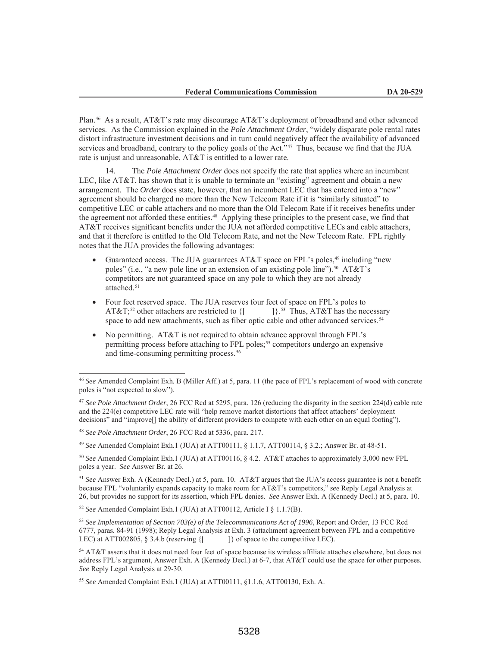Plan.46 As a result, AT&T's rate may discourage AT&T's deployment of broadband and other advanced services. As the Commission explained in the *Pole Attachment Order*, "widely disparate pole rental rates distort infrastructure investment decisions and in turn could negatively affect the availability of advanced services and broadband, contrary to the policy goals of the Act."<sup>47</sup> Thus, because we find that the JUA rate is unjust and unreasonable, AT&T is entitled to a lower rate.

The *Pole Attachment Order* does not specify the rate that applies where an incumbent LEC, like AT&T, has shown that it is unable to terminate an "existing" agreement and obtain a new arrangement. The *Order* does state, however, that an incumbent LEC that has entered into a "new" agreement should be charged no more than the New Telecom Rate if it is "similarly situated" to competitive LEC or cable attachers and no more than the Old Telecom Rate if it receives benefits under the agreement not afforded these entities.48 Applying these principles to the present case, we find that AT&T receives significant benefits under the JUA not afforded competitive LECs and cable attachers, and that it therefore is entitled to the Old Telecom Rate, and not the New Telecom Rate. FPL rightly notes that the JUA provides the following advantages:

- Guaranteed access. The JUA guarantees AT&T space on FPL's poles,<sup>49</sup> including "new poles" (i.e., "a new pole line or an extension of an existing pole line").<sup>50</sup> AT&T's competitors are not guaranteed space on any pole to which they are not already attached.<sup>51</sup>
- Four feet reserved space. The JUA reserves four feet of space on FPL's poles to AT&T;<sup>52</sup> other attachers are restricted to  $\{$ [  $\}$ ].<sup>53</sup> Thus, AT&T has the necessary space to add new attachments, such as fiber optic cable and other advanced services.<sup>54</sup>
- No permitting. AT&T is not required to obtain advance approval through FPL's permitting process before attaching to FPL poles;55 competitors undergo an expensive and time-consuming permitting process.<sup>56</sup>

<sup>49</sup> *See* Amended Complaint Exh.1 (JUA) at ATT00111, § 1.1.7, ATT00114, § 3.2.; Answer Br. at 48-51.

<sup>50</sup> *See* Amended Complaint Exh.1 (JUA) at ATT00116, § 4.2. AT&T attaches to approximately 3,000 new FPL poles a year. *See* Answer Br. at 26.

<sup>51</sup> *See* Answer Exh. A (Kennedy Decl.) at 5, para. 10. AT&T argues that the JUA's access guarantee is not a benefit because FPL "voluntarily expands capacity to make room for AT&T's competitors," *see* Reply Legal Analysis at 26, but provides no support for its assertion, which FPL denies. *See* Answer Exh. A (Kennedy Decl.) at 5, para. 10.

<sup>52</sup> *See* Amended Complaint Exh.1 (JUA) at ATT00112, Article I § 1.1.7(B).

<sup>46</sup> *See* Amended Complaint Exh. B (Miller Aff.) at 5, para. 11 (the pace of FPL's replacement of wood with concrete poles is "not expected to slow").

<sup>47</sup> *See Pole Attachment Order*, 26 FCC Rcd at 5295, para. 126 (reducing the disparity in the section 224(d) cable rate and the 224(e) competitive LEC rate will "help remove market distortions that affect attachers' deployment decisions" and "improve[] the ability of different providers to compete with each other on an equal footing").

<sup>48</sup> *See Pole Attachment Order*, 26 FCC Rcd at 5336, para. 217.

<sup>53</sup> *See Implementation of Section 703(e) of the Telecommunications Act of 1996*, Report and Order, 13 FCC Rcd 6777, paras. 84-91 (1998); Reply Legal Analysis at Exh. 3 (attachment agreement between FPL and a competitive LEC) at ATT002805,  $\S$  3.4.b (reserving  $\{$   $\}$  of space to the competitive LEC).

<sup>54</sup> AT&T asserts that it does not need four feet of space because its wireless affiliate attaches elsewhere, but does not address FPL's argument, Answer Exh. A (Kennedy Decl.) at 6-7, that AT&T could use the space for other purposes. *See* Reply Legal Analysis at 29-30.

<sup>55</sup> *See* Amended Complaint Exh.1 (JUA) at ATT00111, §1.1.6, ATT00130, Exh. A.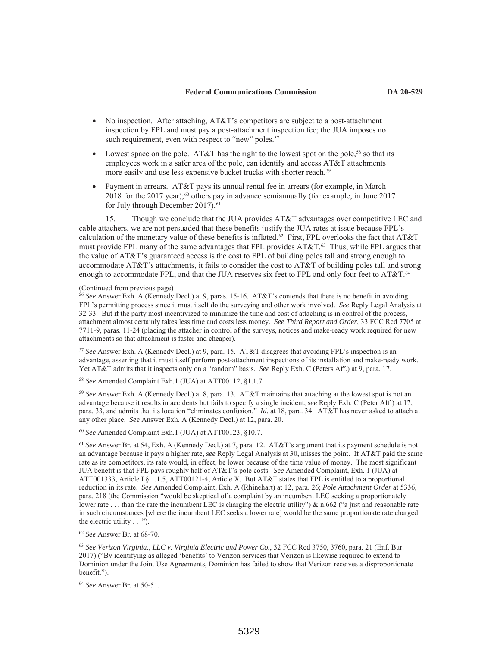- No inspection. After attaching, AT&T's competitors are subject to a post-attachment inspection by FPL and must pay a post-attachment inspection fee; the JUA imposes no such requirement, even with respect to "new" poles.<sup>57</sup>
- Lowest space on the pole. AT&T has the right to the lowest spot on the pole,<sup>58</sup> so that its employees work in a safer area of the pole, can identify and access AT&T attachments more easily and use less expensive bucket trucks with shorter reach.<sup>59</sup>
- Payment in arrears. AT&T pays its annual rental fee in arrears (for example, in March 2018 for the 2017 year);<sup>60</sup> others pay in advance semiannually (for example, in June 2017 for July through December 2017).<sup>61</sup>

15. Though we conclude that the JUA provides AT&T advantages over competitive LEC and cable attachers, we are not persuaded that these benefits justify the JUA rates at issue because FPL's calculation of the monetary value of these benefits is inflated.<sup>62</sup> First, FPL overlooks the fact that AT&T must provide FPL many of the same advantages that FPL provides AT&T.63 Thus, while FPL argues that the value of AT&T's guaranteed access is the cost to FPL of building poles tall and strong enough to accommodate AT&T's attachments, it fails to consider the cost to AT&T of building poles tall and strong enough to accommodate FPL, and that the JUA reserves six feet to FPL and only four feet to AT&T.<sup>64</sup>

(Continued from previous page)

<sup>56</sup> See Answer Exh. A (Kennedy Decl.) at 9, paras. 15-16. AT&T's contends that there is no benefit in avoiding FPL's permitting process since it must itself do the surveying and other work involved. *See* Reply Legal Analysis at 32-33. But if the party most incentivized to minimize the time and cost of attaching is in control of the process, attachment almost certainly takes less time and costs less money. *See Third Report and Order*, 33 FCC Rcd 7705 at 7711-9, paras. 11-24 (placing the attacher in control of the surveys, notices and make-ready work required for new attachments so that attachment is faster and cheaper).

<sup>57</sup> *See* Answer Exh. A (Kennedy Decl.) at 9, para. 15. AT&T disagrees that avoiding FPL's inspection is an advantage, asserting that it must itself perform post-attachment inspections of its installation and make-ready work. Yet AT&T admits that it inspects only on a "random" basis. *See* Reply Exh. C (Peters Aff.) at 9, para. 17.

<sup>58</sup> *See* Amended Complaint Exh.1 (JUA) at ATT00112, §1.1.7.

<sup>59</sup> *See* Answer Exh. A (Kennedy Decl.) at 8, para. 13. AT&T maintains that attaching at the lowest spot is not an advantage because it results in accidents but fails to specify a single incident, s*ee* Reply Exh. C (Peter Aff.) at 17, para. 33, and admits that its location "eliminates confusion." *Id.* at 18, para. 34. AT&T has never asked to attach at any other place. *See* Answer Exh. A (Kennedy Decl.) at 12, para. 20.

<sup>60</sup> *See* Amended Complaint Exh.1 (JUA) at ATT00123, §10.7.

<sup>61</sup> *See* Answer Br. at 54, Exh. A (Kennedy Decl.) at 7, para. 12. AT&T's argument that its payment schedule is not an advantage because it pays a higher rate, s*ee* Reply Legal Analysis at 30, misses the point. If AT&T paid the same rate as its competitors, its rate would, in effect, be lower because of the time value of money. The most significant JUA benefit is that FPL pays roughly half of AT&T's pole costs. *See* Amended Complaint, Exh. 1 (JUA) at ATT001333, Article I § 1.1.5, ATT00121-4, Article X. But AT&T states that FPL is entitled to a proportional reduction in its rate. *See* Amended Complaint, Exh. A (Rhinehart) at 12, para. 26; *Pole Attachment Order* at 5336, para. 218 (the Commission "would be skeptical of a complaint by an incumbent LEC seeking a proportionately lower rate . . . than the rate the incumbent LEC is charging the electric utility") & n.662 ("a just and reasonable rate in such circumstances [where the incumbent LEC seeks a lower rate] would be the same proportionate rate charged the electric utility . . .").

<sup>62</sup> *See* Answer Br. at 68-70.

<sup>63</sup> *See Verizon Virginia., LLC v. Virginia Electric and Power Co.*, 32 FCC Rcd 3750, 3760, para. 21 (Enf. Bur. 2017) ("By identifying as alleged 'benefits' to Verizon services that Verizon is likewise required to extend to Dominion under the Joint Use Agreements, Dominion has failed to show that Verizon receives a disproportionate benefit.").

<sup>64</sup> *See* Answer Br. at 50-51.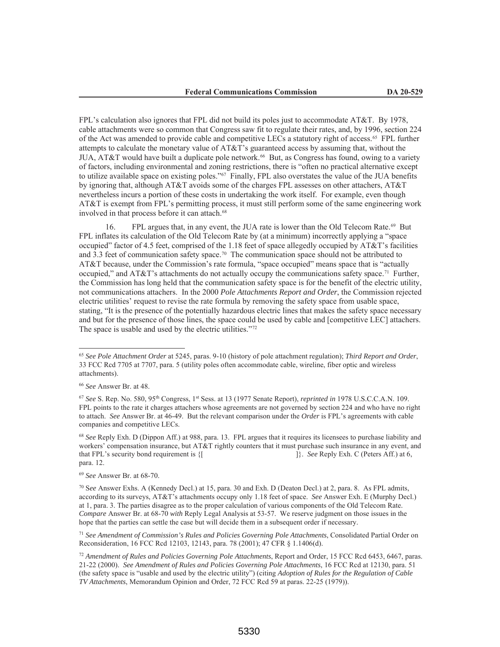FPL's calculation also ignores that FPL did not build its poles just to accommodate AT&T. By 1978, cable attachments were so common that Congress saw fit to regulate their rates, and, by 1996, section 224 of the Act was amended to provide cable and competitive LECs a statutory right of access.65 FPL further attempts to calculate the monetary value of AT&T's guaranteed access by assuming that, without the JUA, AT&T would have built a duplicate pole network.<sup>66</sup> But, as Congress has found, owing to a variety of factors, including environmental and zoning restrictions, there is "often no practical alternative except to utilize available space on existing poles."67 Finally, FPL also overstates the value of the JUA benefits by ignoring that, although AT&T avoids some of the charges FPL assesses on other attachers, AT&T nevertheless incurs a portion of these costs in undertaking the work itself. For example, even though AT&T is exempt from FPL's permitting process, it must still perform some of the same engineering work involved in that process before it can attach.<sup>68</sup>

16. FPL argues that, in any event, the JUA rate is lower than the Old Telecom Rate.<sup>69</sup> But FPL inflates its calculation of the Old Telecom Rate by (at a minimum) incorrectly applying a "space occupied" factor of 4.5 feet, comprised of the 1.18 feet of space allegedly occupied by AT&T's facilities and 3.3 feet of communication safety space.<sup>70</sup> The communication space should not be attributed to AT&T because, under the Commission's rate formula, "space occupied" means space that is "actually occupied," and AT&T's attachments do not actually occupy the communications safety space.<sup>71</sup> Further, the Commission has long held that the communication safety space is for the benefit of the electric utility, not communications attachers. In the 2000 *Pole Attachments Report and Order*, the Commission rejected electric utilities' request to revise the rate formula by removing the safety space from usable space, stating, "It is the presence of the potentially hazardous electric lines that makes the safety space necessary and but for the presence of those lines, the space could be used by cable and [competitive LEC] attachers. The space is usable and used by the electric utilities."<sup>72</sup>

<sup>69</sup> *See* Answer Br. at 68-70.

<sup>71</sup> *See Amendment of Commission's Rules and Policies Governing Pole Attachments*, Consolidated Partial Order on Reconsideration, 16 FCC Rcd 12103, 12143, para. 78 (2001); 47 CFR § 1.1406(d).

<sup>65</sup> *See Pole Attachment Order* at 5245, paras. 9-10 (history of pole attachment regulation); *Third Report and Order*, 33 FCC Rcd 7705 at 7707, para. 5 (utility poles often accommodate cable, wireline, fiber optic and wireless attachments).

<sup>66</sup> *See* Answer Br. at 48.

<sup>67</sup> *See* S. Rep. No. 580, 95th Congress, 1st Sess. at 13 (1977 Senate Report), *reprinted in* 1978 U.S.C.C.A.N. 109. FPL points to the rate it charges attachers whose agreements are not governed by section 224 and who have no right to attach. *See* Answer Br. at 46-49. But the relevant comparison under the *Order* is FPL's agreements with cable companies and competitive LECs.

<sup>68</sup> *See* Reply Exh. D (Dippon Aff.) at 988, para. 13. FPL argues that it requires its licensees to purchase liability and workers' compensation insurance, but AT&T rightly counters that it must purchase such insurance in any event, and that FPL's security bond requirement is  $\{$   $\}$ . *See* Reply Exh. C (Peters Aff.) at 6, para. 12.

<sup>70</sup> S*ee* Answer Exhs. A (Kennedy Decl.) at 15, para. 30 and Exh. D (Deaton Decl.) at 2, para. 8. As FPL admits, according to its surveys, AT&T's attachments occupy only 1.18 feet of space. *See* Answer Exh. E (Murphy Decl.) at 1, para. 3. The parties disagree as to the proper calculation of various components of the Old Telecom Rate. *Compare* Answer Br. at 68-70 *with* Reply Legal Analysis at 53-57. We reserve judgment on those issues in the hope that the parties can settle the case but will decide them in a subsequent order if necessary.

<sup>72</sup> *Amendment of Rules and Policies Governing Pole Attachments*, Report and Order, 15 FCC Rcd 6453, 6467, paras. 21-22 (2000). *See Amendment of Rules and Policies Governing Pole Attachments*, 16 FCC Rcd at 12130, para. 51 (the safety space is "usable and used by the electric utility") (citing *Adoption of Rules for the Regulation of Cable TV Attachments*, Memorandum Opinion and Order, 72 FCC Rcd 59 at paras. 22-25 (1979)).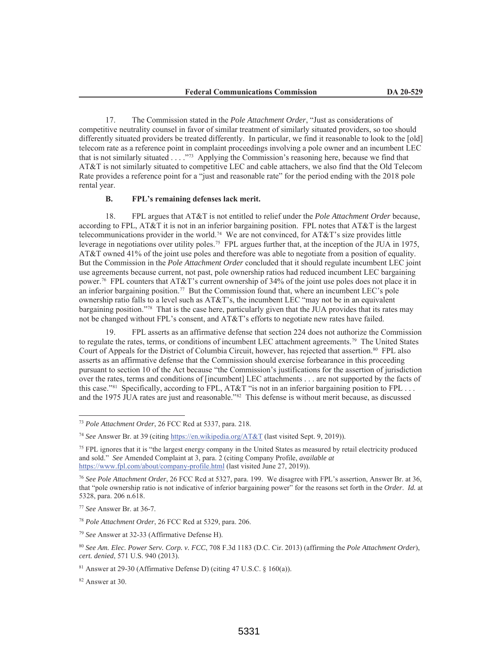17. The Commission stated in the *Pole Attachment Order*, "Just as considerations of competitive neutrality counsel in favor of similar treatment of similarly situated providers, so too should differently situated providers be treated differently. In particular, we find it reasonable to look to the [old] telecom rate as a reference point in complaint proceedings involving a pole owner and an incumbent LEC that is not similarly situated . . . ."73 Applying the Commission's reasoning here, because we find that AT&T is not similarly situated to competitive LEC and cable attachers, we also find that the Old Telecom Rate provides a reference point for a "just and reasonable rate" for the period ending with the 2018 pole rental year.

## **B. FPL's remaining defenses lack merit.**

18. FPL argues that AT&T is not entitled to relief under the *Pole Attachment Order* because, according to FPL, AT&T it is not in an inferior bargaining position. FPL notes that AT&T is the largest telecommunications provider in the world.<sup>74</sup> We are not convinced, for AT&T's size provides little leverage in negotiations over utility poles.75 FPL argues further that, at the inception of the JUA in 1975, AT&T owned 41% of the joint use poles and therefore was able to negotiate from a position of equality. But the Commission in the *Pole Attachment Order* concluded that it should regulate incumbent LEC joint use agreements because current, not past, pole ownership ratios had reduced incumbent LEC bargaining power.76 FPL counters that AT&T's current ownership of 34% of the joint use poles does not place it in an inferior bargaining position.77 But the Commission found that, where an incumbent LEC's pole ownership ratio falls to a level such as  $AT&T$ 's, the incumbent LEC "may not be in an equivalent bargaining position."78 That is the case here, particularly given that the JUA provides that its rates may not be changed without FPL's consent, and AT&T's efforts to negotiate new rates have failed.

19. FPL asserts as an affirmative defense that section 224 does not authorize the Commission to regulate the rates, terms, or conditions of incumbent LEC attachment agreements.79 The United States Court of Appeals for the District of Columbia Circuit, however, has rejected that assertion.<sup>80</sup> FPL also asserts as an affirmative defense that the Commission should exercise forbearance in this proceeding pursuant to section 10 of the Act because "the Commission's justifications for the assertion of jurisdiction over the rates, terms and conditions of [incumbent] LEC attachments . . . are not supported by the facts of this case."<sup>81</sup> Specifically, according to FPL, AT&T "is not in an inferior bargaining position to FPL . . . and the 1975 JUA rates are just and reasonable."82 This defense is without merit because, as discussed

<sup>79</sup> *See* Answer at 32-33 (Affirmative Defense H).

<sup>82</sup> Answer at 30.

<sup>73</sup> *Pole Attachment Order*, 26 FCC Rcd at 5337, para. 218.

<sup>74</sup> *See* Answer Br. at 39 (citing https://en.wikipedia.org/AT&T (last visited Sept. 9, 2019)).

<sup>&</sup>lt;sup>75</sup> FPL ignores that it is "the largest energy company in the United States as measured by retail electricity produced and sold." *See* Amended Complaint at 3, para. 2 (citing Company Profile, *available at* https://www.fpl.com/about/company-profile.html (last visited June 27, 2019)).

<sup>76</sup> *See Pole Attachment Order*, 26 FCC Rcd at 5327, para. 199. We disagree with FPL's assertion, Answer Br. at 36, that "pole ownership ratio is not indicative of inferior bargaining power" for the reasons set forth in the *Order*. *Id.* at 5328, para. 206 n.618.

<sup>77</sup> *See* Answer Br. at 36-7.

<sup>78</sup> *Pole Attachment Order*, 26 FCC Rcd at 5329, para. 206.

<sup>80</sup> *See Am. Elec. Power Serv. Corp. v. FCC*, 708 F.3d 1183 (D.C. Cir. 2013) (affirming the *Pole Attachment Order*), *cert. denied*, 571 U.S. 940 (2013).

 $81$  Answer at 29-30 (Affirmative Defense D) (citing 47 U.S.C.  $\S$  160(a)).